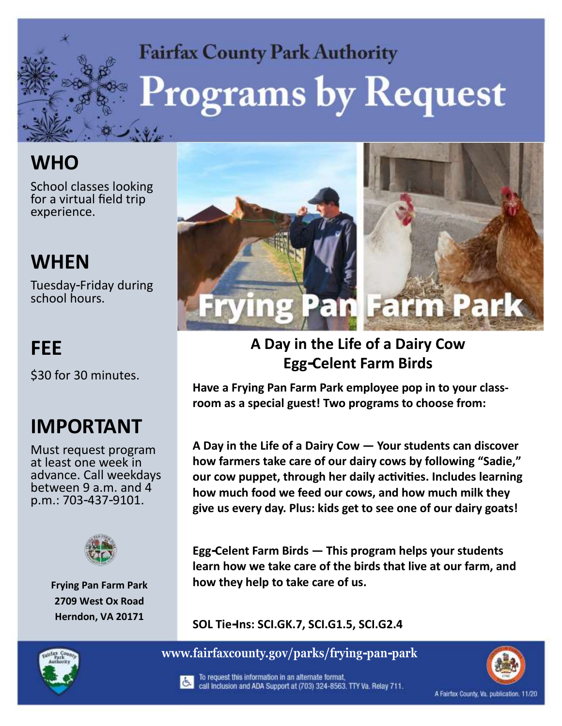# **Fairfax County Park Authority Programs by Request**

# **WHO**

School classes looking for a virtual field trip experience.

# **WHEN**

Tuesday-Friday during school hours.

### **FEE**

\$30 for 30 minutes.

# **IMPORTANT**

Must request program at least one week in advance. Call weekdays between 9 a.m. and 4 p.m.: 703-437-9101.



**Frying Pan Farm Park 2709 West Ox Road Herndon, VA 20171**



#### **Egg-Celent Farm Birds A Day in the Life of a Dairy Cow**

**Have a Frying Pan Farm Park employee pop in to your classroom as a special guest! Two programs to choose from:**

**A Day in the Life of a Dairy Cow — Your students can discover how farmers take care of our dairy cows by following "Sadie," our cow puppet, through her daily activities. Includes learning how much food we feed our cows, and how much milk they give us every day. Plus: kids get to see one of our dairy goats!**

**Egg-Celent Farm Birds — This program helps your students learn how we take care of the birds that live at our farm, and how they help to take care of us.**

**SOL Tie-Ins: SCI.GK.7, SCI.G1.5, SCI.G2.4**



**www.fairfaxcounty.gov/parks/frying-pan-park**